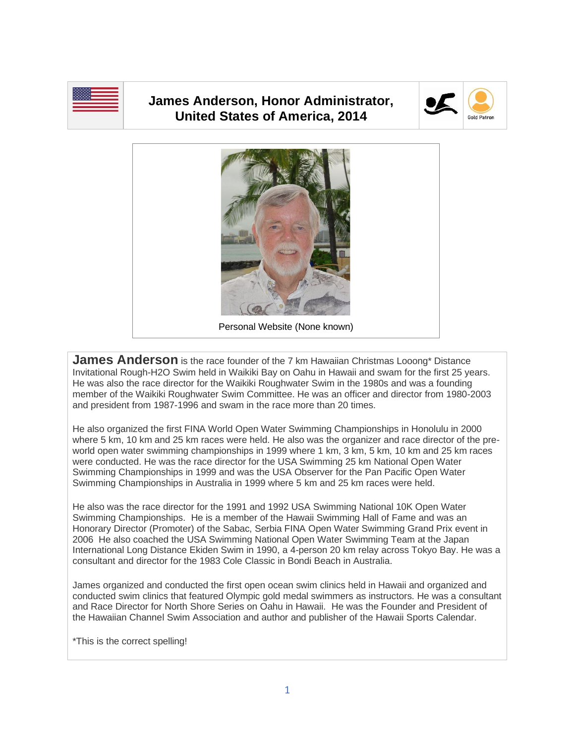

## **James Anderson, Honor Administrator, United States of America, 2014**





**James Anderson** is the race founder of the 7 km Hawaiian Christmas Looong\* Distance Invitational Rough-H2O Swim held in Waikiki Bay on Oahu in Hawaii and swam for the first 25 years. He was also the race director for the Waikiki Roughwater Swim in the 1980s and was a founding member of the Waikiki Roughwater Swim Committee. He was an officer and director from 1980-2003 and president from 1987-1996 and swam in the race more than 20 times.

He also organized the first FINA World Open Water Swimming Championships in Honolulu in 2000 where 5 km, 10 km and 25 km races were held. He also was the organizer and race director of the preworld open water swimming championships in 1999 where 1 km, 3 km, 5 km, 10 km and 25 km races were conducted. He was the race director for the USA Swimming 25 km National Open Water Swimming Championships in 1999 and was the USA Observer for the Pan Pacific Open Water Swimming Championships in Australia in 1999 where 5 km and 25 km races were held.

He also was the race director for the 1991 and 1992 USA Swimming National 10K Open Water Swimming Championships. He is a member of the Hawaii Swimming Hall of Fame and was an Honorary Director (Promoter) of the Sabac, Serbia FINA Open Water Swimming Grand Prix event in 2006 He also coached the USA Swimming National Open Water Swimming Team at the Japan International Long Distance Ekiden Swim in 1990, a 4-person 20 km relay across Tokyo Bay. He was a consultant and director for the 1983 Cole Classic in Bondi Beach in Australia.

James organized and conducted the first open ocean swim clinics held in Hawaii and organized and conducted swim clinics that featured Olympic gold medal swimmers as instructors. He was a consultant and Race Director for North Shore Series on Oahu in Hawaii. He was the Founder and President of the Hawaiian Channel Swim Association and author and publisher of the Hawaii Sports Calendar.

\*This is the correct spelling!